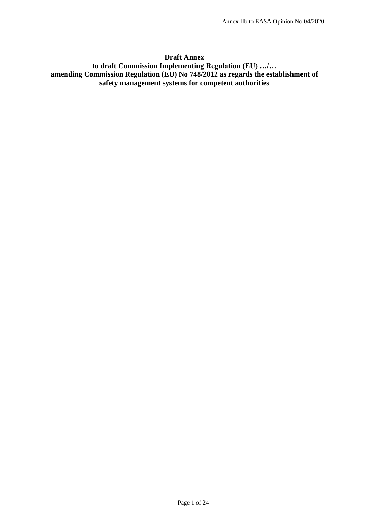#### **Draft Annex**

# **to draft Commission Implementing Regulation (EU) …/… amending Commission Regulation (EU) No 748/2012 as regards the establishment of safety management systems for competent authorities**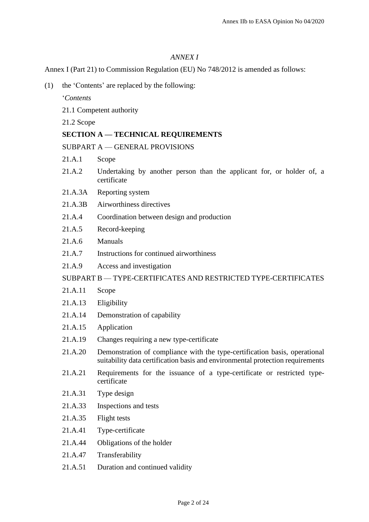## *ANNEX I*

Annex I (Part 21) to Commission Regulation (EU) No 748/2012 is amended as follows:

(1) the 'Contents' are replaced by the following:

'*Contents*

- 21.1 Competent authority
- 21.2 Scope

## **SECTION A — TECHNICAL REQUIREMENTS**

SUBPART A — GENERAL PROVISIONS

- 21.A.1 Scope
- 21.A.2 Undertaking by another person than the applicant for, or holder of, a certificate
- 21.A.3A Reporting system
- 21.A.3B Airworthiness directives
- 21.A.4 Coordination between design and production
- 21.A.5 Record-keeping
- 21.A.6 Manuals
- 21.A.7 Instructions for continued airworthiness
- 21.A.9 Access and investigation

#### SUBPART B — TYPE-CERTIFICATES AND RESTRICTED TYPE-CERTIFICATES

- 21.A.11 Scope
- 21.A.13 Eligibility
- 21.A.14 Demonstration of capability
- 21.A.15 Application
- 21.A.19 Changes requiring a new type-certificate
- 21.A.20 Demonstration of compliance with the type-certification basis, operational suitability data certification basis and environmental protection requirements
- 21.A.21 Requirements for the issuance of a type-certificate or restricted typecertificate
- 21.A.31 Type design
- 21.A.33 Inspections and tests
- 21.A.35 Flight tests
- 21.A.41 Type-certificate
- 21.A.44 Obligations of the holder
- 21.A.47 Transferability
- 21.A.51 Duration and continued validity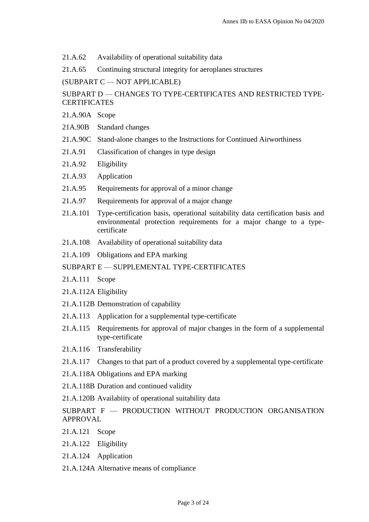21.A.62 Availability of operational suitability data

21.A.65 Continuing structural integrity for aeroplanes structures

(SUBPART C — NOT APPLICABLE)

# SUBPART D — CHANGES TO TYPE-CERTIFICATES AND RESTRICTED TYPE-**CERTIFICATES**

- 21.A.90A Scope
- 21A.90B Standard changes
- 21.A.90C Stand-alone changes to the Instructions for Continued Airworthiness
- 21.A.91 Classification of changes in type design
- 21.A.92 Eligibility
- 21.A.93 Application
- 21.A.95 Requirements for approval of a minor change
- 21.A.97 Requirements for approval of a major change
- 21.A.101 Type-certification basis, operational suitability data certification basis and environmental protection requirements for a major change to a typecertificate
- 21.A.108 Availability of operational suitability data
- 21.A.109 Obligations and EPA marking

## SUBPART E — SUPPLEMENTAL TYPE-CERTIFICATES

- 21.A.111 Scope
- 21.A.112A Eligibility
- 21.A.112B Demonstration of capability
- 21.A.113 Application for a supplemental type-certificate
- 21.A.115 Requirements for approval of major changes in the form of a supplemental type-certificate
- 21.A.116 Transferability
- 21.A.117 Changes to that part of a product covered by a supplemental type-certificate
- 21.A.118A Obligations and EPA marking
- 21.A.118B Duration and continued validity
- 21.A.120B Availabiity of operational suitability data
- SUBPART F PRODUCTION WITHOUT PRODUCTION ORGANISATION APPROVAL
- 21.A.121 Scope
- 21.A.122 Eligibility
- 21.A.124 Application
- 21.A.124A Alternative means of compliance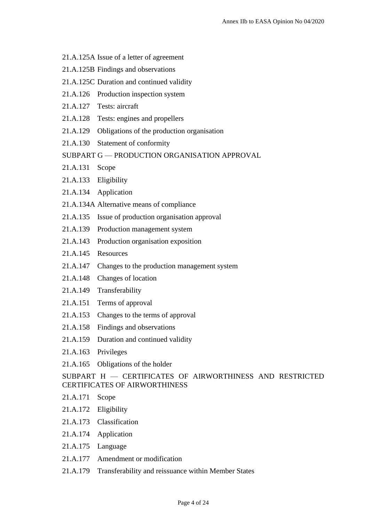- 21.A.125A Issue of a letter of agreement
- 21.A.125B Findings and observations
- 21.A.125C Duration and continued validity
- 21.A.126 Production inspection system
- 21.A.127 Tests: aircraft
- 21.A.128 Tests: engines and propellers
- 21.A.129 Obligations of the production organisation
- 21.A.130 Statement of conformity
- SUBPART G PRODUCTION ORGANISATION APPROVAL
- 21.A.131 Scope
- 21.A.133 Eligibility
- 21.A.134 Application
- 21.A.134A Alternative means of compliance
- 21.A.135 Issue of production organisation approval
- 21.A.139 Production management system
- 21.A.143 Production organisation exposition
- 21.A.145 Resources
- 21.A.147 Changes to the production management system
- 21.A.148 Changes of location
- 21.A.149 Transferability
- 21.A.151 Terms of approval
- 21.A.153 Changes to the terms of approval
- 21.A.158 Findings and observations
- 21.A.159 Duration and continued validity
- 21.A.163 Privileges
- 21.A.165 Obligations of the holder

SUBPART H — CERTIFICATES OF AIRWORTHINESS AND RESTRICTED CERTIFICATES OF AIRWORTHINESS

- 21.A.171 Scope
- 21.A.172 Eligibility
- 21.A.173 Classification
- 21.A.174 Application
- 21.A.175 Language
- 21.A.177 Amendment or modification
- 21.A.179 Transferability and reissuance within Member States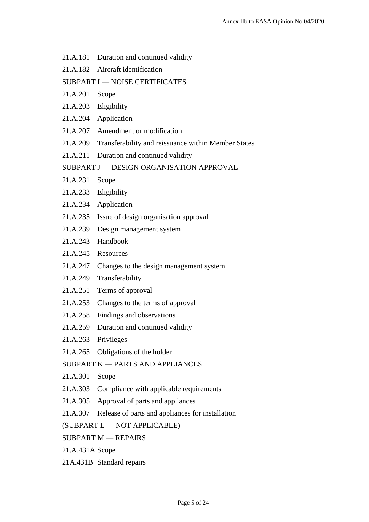- 21.A.181 Duration and continued validity
- 21.A.182 Aircraft identification

## SUBPART I — NOISE CERTIFICATES

- 21.A.201 Scope
- 21.A.203 Eligibility
- 21.A.204 Application
- 21.A.207 Amendment or modification
- 21.A.209 Transferability and reissuance within Member States
- 21.A.211 Duration and continued validity
- SUBPART J DESIGN ORGANISATION APPROVAL
- 21.A.231 Scope
- 21.A.233 Eligibility
- 21.A.234 Application
- 21.A.235 Issue of design organisation approval
- 21.A.239 Design management system
- 21.A.243 Handbook
- 21.A.245 Resources
- 21.A.247 Changes to the design management system
- 21.A.249 Transferability
- 21.A.251 Terms of approval
- 21.A.253 Changes to the terms of approval
- 21.A.258 Findings and observations
- 21.A.259 Duration and continued validity
- 21.A.263 Privileges
- 21.A.265 Obligations of the holder

## SUBPART K — PARTS AND APPLIANCES

- 21.A.301 Scope
- 21.A.303 Compliance with applicable requirements
- 21.A.305 Approval of parts and appliances
- 21.A.307 Release of parts and appliances for installation

## (SUBPART L — NOT APPLICABLE)

- SUBPART M REPAIRS
- 21.A.431A Scope
- 21A.431B Standard repairs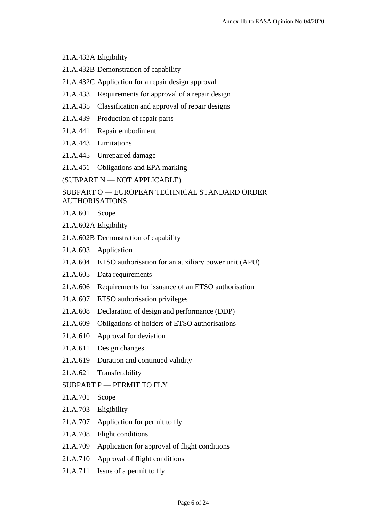## 21.A.432A Eligibility

- 21.A.432B Demonstration of capability
- 21.A.432C Application for a repair design approval
- 21.A.433 Requirements for approval of a repair design
- 21.A.435 Classification and approval of repair designs
- 21.A.439 Production of repair parts
- 21.A.441 Repair embodiment
- 21.A.443 Limitations
- 21.A.445 Unrepaired damage
- 21.A.451 Obligations and EPA marking

(SUBPART N — NOT APPLICABLE)

## SUBPART O — EUROPEAN TECHNICAL STANDARD ORDER AUTHORISATIONS

- 21.A.601 Scope
- 21.A.602A Eligibility
- 21.A.602B Demonstration of capability
- 21.A.603 Application
- 21.A.604 ETSO authorisation for an auxiliary power unit (APU)
- 21.A.605 Data requirements
- 21.A.606 Requirements for issuance of an ETSO authorisation
- 21.A.607 ETSO authorisation privileges
- 21.A.608 Declaration of design and performance (DDP)
- 21.A.609 Obligations of holders of ETSO authorisations
- 21.A.610 Approval for deviation
- 21.A.611 Design changes
- 21.A.619 Duration and continued validity
- 21.A.621 Transferability
- SUBPART P PERMIT TO FLY
- 21.A.701 Scope
- 21.A.703 Eligibility
- 21.A.707 Application for permit to fly
- 21.A.708 Flight conditions
- 21.A.709 Application for approval of flight conditions
- 21.A.710 Approval of flight conditions
- 21.A.711 Issue of a permit to fly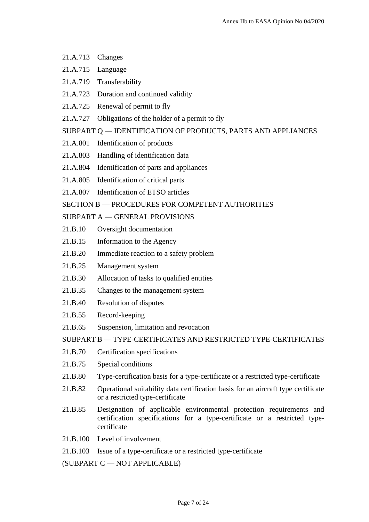- 21.A.713 Changes
- 21.A.715 Language
- 21.A.719 Transferability
- 21.A.723 Duration and continued validity
- 21.A.725 Renewal of permit to fly
- 21.A.727 Obligations of the holder of a permit to fly

## SUBPART Q — IDENTIFICATION OF PRODUCTS, PARTS AND APPLIANCES

- 21.A.801 Identification of products
- 21.A.803 Handling of identification data
- 21.A.804 Identification of parts and appliances
- 21.A.805 Identification of critical parts
- 21.A.807 Identification of ETSO articles

# SECTION B — PROCEDURES FOR COMPETENT AUTHORITIES

## SUBPART A — GENERAL PROVISIONS

- 21.B.10 Oversight documentation
- 21.B.15 Information to the Agency
- 21.B.20 Immediate reaction to a safety problem
- 21.B.25 Management system
- 21.B.30 Allocation of tasks to qualified entities
- 21.B.35 Changes to the management system
- 21.B.40 Resolution of disputes
- 21.B.55 Record-keeping
- 21.B.65 Suspension, limitation and revocation

SUBPART B — TYPE-CERTIFICATES AND RESTRICTED TYPE-CERTIFICATES

- 21.B.70 Certification specifications
- 21.B.75 Special conditions
- 21.B.80 Type-certification basis for a type-certificate or a restricted type-certificate
- 21.B.82 Operational suitability data certification basis for an aircraft type certificate or a restricted type-certificate
- 21.B.85 Designation of applicable environmental protection requirements and certification specifications for a type-certificate or a restricted typecertificate
- 21.B.100 Level of involvement
- 21.B.103 Issue of a type-certificate or a restricted type-certificate

(SUBPART C — NOT APPLICABLE)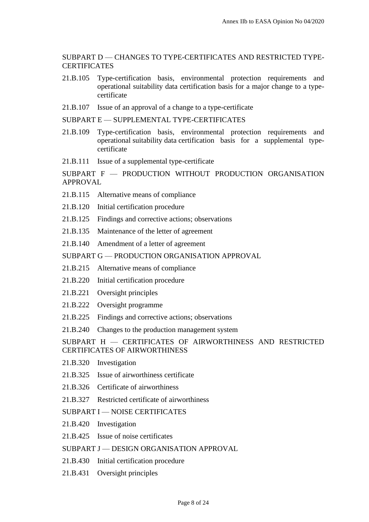#### SUBPART D — CHANGES TO TYPE-CERTIFICATES AND RESTRICTED TYPE-**CERTIFICATES**

- 21.B.105 Type-certification basis, environmental protection requirements and operational suitability data certification basis for a major change to a typecertificate
- 21.B.107 Issue of an approval of a change to a type-certificate

SUBPART E — SUPPLEMENTAL TYPE-CERTIFICATES

- 21.B.109 Type-certification basis, environmental protection requirements and operational suitability data certification basis for a supplemental typecertificate
- 21.B.111 Issue of a supplemental type-certificate

SUBPART F — PRODUCTION WITHOUT PRODUCTION ORGANISATION APPROVAL

- 21.B.115 Alternative means of compliance
- 21.B.120 Initial certification procedure
- 21.B.125 Findings and corrective actions; observations
- 21.B.135 Maintenance of the letter of agreement
- 21.B.140 Amendment of a letter of agreement

SUBPART G — PRODUCTION ORGANISATION APPROVAL

- 21.B.215 Alternative means of compliance
- 21.B.220 Initial certification procedure
- 21.B.221 Oversight principles
- 21.B.222 Oversight programme
- 21.B.225 Findings and corrective actions; observations
- 21.B.240 Changes to the production management system

#### SUBPART H — CERTIFICATES OF AIRWORTHINESS AND RESTRICTED CERTIFICATES OF AIRWORTHINESS

- 21.B.320 Investigation
- 21.B.325 Issue of airworthiness certificate
- 21.B.326 Certificate of airworthiness
- 21.B.327 Restricted certificate of airworthiness

SUBPART I — NOISE CERTIFICATES

- 21.B.420 Investigation
- 21.B.425 Issue of noise certificates
- SUBPART J DESIGN ORGANISATION APPROVAL
- 21.B.430 Initial certification procedure
- 21.B.431 Oversight principles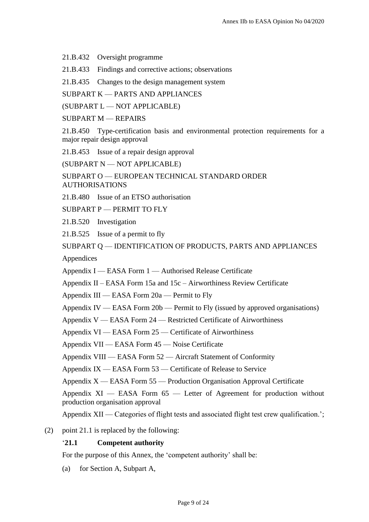21.B.432 Oversight programme

21.B.433 Findings and corrective actions; observations

21.B.435 Changes to the design management system

SUBPART K — PARTS AND APPLIANCES

(SUBPART L — NOT APPLICABLE)

SUBPART M — REPAIRS

21.B.450 Type-certification basis and environmental protection requirements for a major repair design approval

21.B.453 Issue of a repair design approval

(SUBPART N — NOT APPLICABLE)

SUBPART O — EUROPEAN TECHNICAL STANDARD ORDER AUTHORISATIONS

21.B.480 Issue of an ETSO authorisation

SUBPART P — PERMIT TO FLY

21.B.520 Investigation

21.B.525 Issue of a permit to fly

SUBPART Q — IDENTIFICATION OF PRODUCTS, PARTS AND APPLIANCES

Appendices

Appendix I — EASA Form 1 — Authorised Release Certificate

Appendix  $II - EASA$  Form 15a and 15c – Airworthiness Review Certificate

Appendix III — EASA Form 20a — Permit to Fly

Appendix IV — EASA Form 20b — Permit to Fly (issued by approved organisations)

Appendix V — EASA Form 24 — Restricted Certificate of Airworthiness

Appendix VI — EASA Form 25 — Certificate of Airworthiness

Appendix VII — EASA Form 45 — Noise Certificate

Appendix VIII — EASA Form 52 — Aircraft Statement of Conformity

Appendix IX — EASA Form 53 — Certificate of Release to Service

Appendix X — EASA Form 55 — Production Organisation Approval Certificate

Appendix  $XI$  — EASA Form  $65$  — Letter of Agreement for production without production organisation approval

Appendix XII — Categories of flight tests and associated flight test crew qualification.';

(2) point 21.1 is replaced by the following:

#### '**21.1 Competent authority**

For the purpose of this Annex, the 'competent authority' shall be:

(a) for Section A, Subpart A,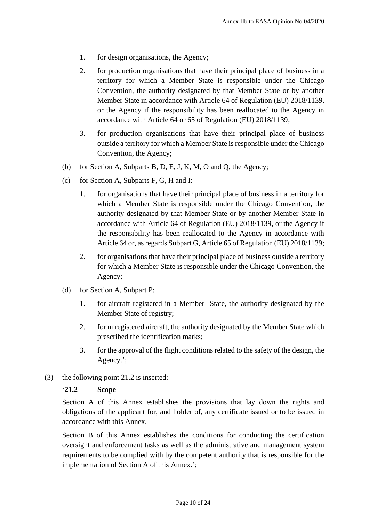- 1. for design organisations, the Agency;
- 2. for production organisations that have their principal place of business in a territory for which a Member State is responsible under the Chicago Convention, the authority designated by that Member State or by another Member State in accordance with Article 64 of Regulation (EU) 2018/1139, or the Agency if the responsibility has been reallocated to the Agency in accordance with Article 64 or 65 of Regulation (EU) 2018/1139;
- 3. for production organisations that have their principal place of business outside a territory for which a Member State is responsible under the Chicago Convention, the Agency;
- (b) for Section A, Subparts B, D, E, J, K, M, O and Q, the Agency;
- (c) for Section A, Subparts F, G, H and I:
	- 1. for organisations that have their principal place of business in a territory for which a Member State is responsible under the Chicago Convention, the authority designated by that Member State or by another Member State in accordance with Article 64 of Regulation (EU) 2018/1139, or the Agency if the responsibility has been reallocated to the Agency in accordance with Article 64 or, as regards Subpart G, Article 65 of Regulation (EU) 2018/1139;
	- 2. for organisations that have their principal place of business outside a territory for which a Member State is responsible under the Chicago Convention, the Agency;
- (d) for Section A, Subpart P:
	- 1. for aircraft registered in a Member State, the authority designated by the Member State of registry;
	- 2. for unregistered aircraft, the authority designated by the Member State which prescribed the identification marks;
	- 3. for the approval of the flight conditions related to the safety of the design, the Agency.';
- (3) the following point 21.2 is inserted:

#### '**21.2 Scope**

Section A of this Annex establishes the provisions that lay down the rights and obligations of the applicant for, and holder of, any certificate issued or to be issued in accordance with this Annex.

Section B of this Annex establishes the conditions for conducting the certification oversight and enforcement tasks as well as the administrative and management system requirements to be complied with by the competent authority that is responsible for the implementation of Section A of this Annex.';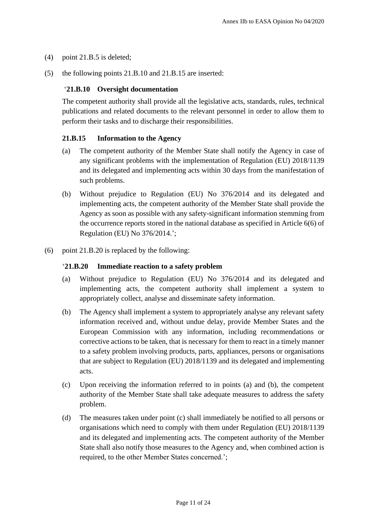- (4) point 21.B.5 is deleted;
- (5) the following points 21.B.10 and 21.B.15 are inserted:

## '**21.B.10 Oversight documentation**

The competent authority shall provide all the legislative acts, standards, rules, technical publications and related documents to the relevant personnel in order to allow them to perform their tasks and to discharge their responsibilities.

#### **21.B.15 Information to the Agency**

- (a) The competent authority of the Member State shall notify the Agency in case of any significant problems with the implementation of Regulation (EU) 2018/1139 and its delegated and implementing acts within 30 days from the manifestation of such problems.
- (b) Without prejudice to Regulation (EU) No 376/2014 and its delegated and implementing acts, the competent authority of the Member State shall provide the Agency as soon as possible with any safety-significant information stemming from the occurrence reports stored in the national database as specified in Article 6(6) of Regulation (EU) No 376/2014.';
- (6) point 21.B.20 is replaced by the following:

#### '**21.B.20 Immediate reaction to a safety problem**

- (a) Without prejudice to Regulation (EU) No 376/2014 and its delegated and implementing acts, the competent authority shall implement a system to appropriately collect, analyse and disseminate safety information.
- (b) The Agency shall implement a system to appropriately analyse any relevant safety information received and, without undue delay, provide Member States and the European Commission with any information, including recommendations or corrective actions to be taken, that is necessary for them to react in a timely manner to a safety problem involving products, parts, appliances, persons or organisations that are subject to Regulation (EU) 2018/1139 and its delegated and implementing acts.
- (c) Upon receiving the information referred to in points (a) and (b), the competent authority of the Member State shall take adequate measures to address the safety problem.
- (d) The measures taken under point (c) shall immediately be notified to all persons or organisations which need to comply with them under Regulation (EU) 2018/1139 and its delegated and implementing acts. The competent authority of the Member State shall also notify those measures to the Agency and, when combined action is required, to the other Member States concerned.';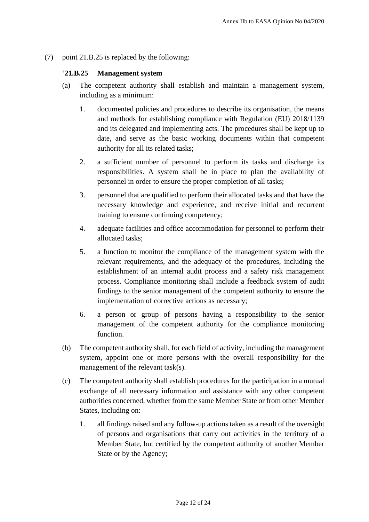(7) point 21.B.25 is replaced by the following:

#### '**21.B.25 Management system**

- (a) The competent authority shall establish and maintain a management system, including as a minimum:
	- 1. documented policies and procedures to describe its organisation, the means and methods for establishing compliance with Regulation (EU) 2018/1139 and its delegated and implementing acts. The procedures shall be kept up to date, and serve as the basic working documents within that competent authority for all its related tasks;
	- 2. a sufficient number of personnel to perform its tasks and discharge its responsibilities. A system shall be in place to plan the availability of personnel in order to ensure the proper completion of all tasks;
	- 3. personnel that are qualified to perform their allocated tasks and that have the necessary knowledge and experience, and receive initial and recurrent training to ensure continuing competency;
	- 4. adequate facilities and office accommodation for personnel to perform their allocated tasks;
	- 5. a function to monitor the compliance of the management system with the relevant requirements, and the adequacy of the procedures, including the establishment of an internal audit process and a safety risk management process. Compliance monitoring shall include a feedback system of audit findings to the senior management of the competent authority to ensure the implementation of corrective actions as necessary;
	- 6. a person or group of persons having a responsibility to the senior management of the competent authority for the compliance monitoring function.
- (b) The competent authority shall, for each field of activity, including the management system, appoint one or more persons with the overall responsibility for the management of the relevant task(s).
- (c) The competent authority shall establish procedures for the participation in a mutual exchange of all necessary information and assistance with any other competent authorities concerned, whether from the same Member State or from other Member States, including on:
	- 1. all findings raised and any follow-up actions taken as a result of the oversight of persons and organisations that carry out activities in the territory of a Member State, but certified by the competent authority of another Member State or by the Agency;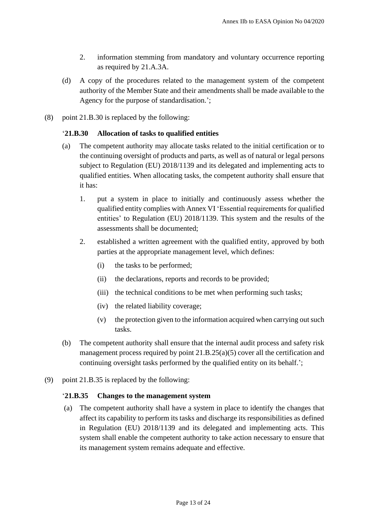- 2. information stemming from mandatory and voluntary occurrence reporting as required by 21.A.3A.
- (d) A copy of the procedures related to the management system of the competent authority of the Member State and their amendments shall be made available to the Agency for the purpose of standardisation.';
- (8) point 21.B.30 is replaced by the following:

#### '**21.B.30 Allocation of tasks to qualified entities**

- (a) The competent authority may allocate tasks related to the initial certification or to the continuing oversight of products and parts, as well as of natural or legal persons subject to Regulation (EU) 2018/1139 and its delegated and implementing acts to qualified entities. When allocating tasks, the competent authority shall ensure that it has:
	- 1. put a system in place to initially and continuously assess whether the qualified entity complies with Annex VI 'Essential requirements for qualified entities' to Regulation (EU) 2018/1139. This system and the results of the assessments shall be documented;
	- 2. established a written agreement with the qualified entity, approved by both parties at the appropriate management level, which defines:
		- (i) the tasks to be performed;
		- (ii) the declarations, reports and records to be provided;
		- (iii) the technical conditions to be met when performing such tasks;
		- (iv) the related liability coverage;
		- (v) the protection given to the information acquired when carrying out such tasks.
- (b) The competent authority shall ensure that the internal audit process and safety risk management process required by point 21.B.25(a)(5) cover all the certification and continuing oversight tasks performed by the qualified entity on its behalf.';
- (9) point 21.B.35 is replaced by the following:

#### '**21.B.35 Changes to the management system**

(a) The competent authority shall have a system in place to identify the changes that affect its capability to perform its tasks and discharge its responsibilities as defined in Regulation (EU) 2018/1139 and its delegated and implementing acts. This system shall enable the competent authority to take action necessary to ensure that its management system remains adequate and effective.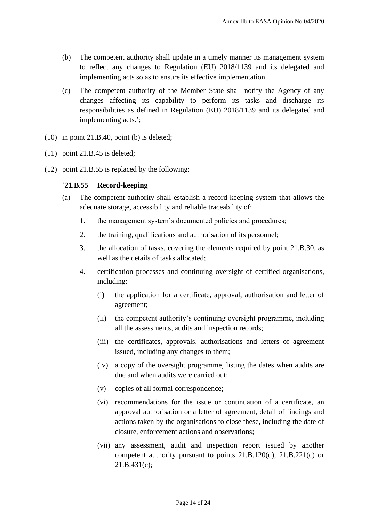- (b) The competent authority shall update in a timely manner its management system to reflect any changes to Regulation (EU) 2018/1139 and its delegated and implementing acts so as to ensure its effective implementation.
- (c) The competent authority of the Member State shall notify the Agency of any changes affecting its capability to perform its tasks and discharge its responsibilities as defined in Regulation (EU) 2018/1139 and its delegated and implementing acts.';
- (10) in point 21.B.40, point (b) is deleted;
- (11) point 21.B.45 is deleted;
- (12) point 21.B.55 is replaced by the following:

#### '**21.B.55 Record-keeping**

- (a) The competent authority shall establish a record-keeping system that allows the adequate storage, accessibility and reliable traceability of:
	- 1. the management system's documented policies and procedures;
	- 2. the training, qualifications and authorisation of its personnel;
	- 3. the allocation of tasks, covering the elements required by point 21.B.30, as well as the details of tasks allocated;
	- 4. certification processes and continuing oversight of certified organisations, including:
		- (i) the application for a certificate, approval, authorisation and letter of agreement;
		- (ii) the competent authority's continuing oversight programme, including all the assessments, audits and inspection records;
		- (iii) the certificates, approvals, authorisations and letters of agreement issued, including any changes to them;
		- (iv) a copy of the oversight programme, listing the dates when audits are due and when audits were carried out;
		- (v) copies of all formal correspondence;
		- (vi) recommendations for the issue or continuation of a certificate, an approval authorisation or a letter of agreement, detail of findings and actions taken by the organisations to close these, including the date of closure, enforcement actions and observations;
		- (vii) any assessment, audit and inspection report issued by another competent authority pursuant to points 21.B.120(d), 21.B.221(c) or 21.B.431(c);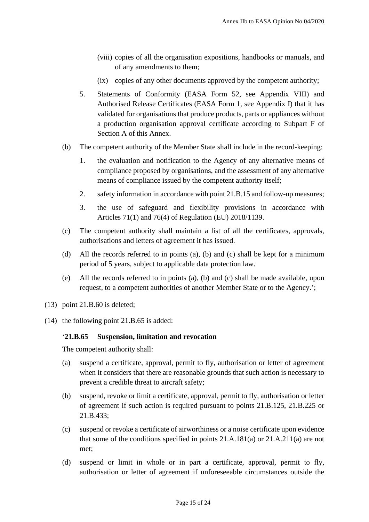- (viii) copies of all the organisation expositions, handbooks or manuals, and of any amendments to them;
- (ix) copies of any other documents approved by the competent authority;
- 5. Statements of Conformity (EASA Form 52, see Appendix VIII) and Authorised Release Certificates (EASA Form 1, see Appendix I) that it has validated for organisations that produce products, parts or appliances without a production organisation approval certificate according to Subpart F of Section A of this Annex.
- (b) The competent authority of the Member State shall include in the record-keeping:
	- 1. the evaluation and notification to the Agency of any alternative means of compliance proposed by organisations, and the assessment of any alternative means of compliance issued by the competent authority itself;
	- 2. safety information in accordance with point 21.B.15 and follow-up measures;
	- 3. the use of safeguard and flexibility provisions in accordance with Articles 71(1) and 76(4) of Regulation (EU) 2018/1139.
- (c) The competent authority shall maintain a list of all the certificates, approvals, authorisations and letters of agreement it has issued.
- (d) All the records referred to in points (a), (b) and (c) shall be kept for a minimum period of 5 years, subject to applicable data protection law.
- (e) All the records referred to in points (a), (b) and (c) shall be made available, upon request, to a competent authorities of another Member State or to the Agency.';
- (13) point 21.B.60 is deleted;
- (14) the following point 21.B.65 is added:

#### '**21.B.65 Suspension, limitation and revocation**

The competent authority shall:

- (a) suspend a certificate, approval, permit to fly, authorisation or letter of agreement when it considers that there are reasonable grounds that such action is necessary to prevent a credible threat to aircraft safety;
- (b) suspend, revoke or limit a certificate, approval, permit to fly, authorisation or letter of agreement if such action is required pursuant to points 21.B.125, 21.B.225 or 21.B.433;
- (c) suspend or revoke a certificate of airworthiness or a noise certificate upon evidence that some of the conditions specified in points 21.A.181(a) or 21.A.211(a) are not met;
- (d) suspend or limit in whole or in part a certificate, approval, permit to fly, authorisation or letter of agreement if unforeseeable circumstances outside the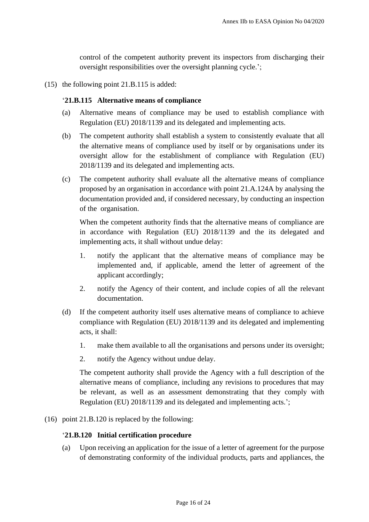control of the competent authority prevent its inspectors from discharging their oversight responsibilities over the oversight planning cycle.';

(15) the following point 21.B.115 is added:

#### '**21.B.115 Alternative means of compliance**

- (a) Alternative means of compliance may be used to establish compliance with Regulation (EU) 2018/1139 and its delegated and implementing acts.
- (b) The competent authority shall establish a system to consistently evaluate that all the alternative means of compliance used by itself or by organisations under its oversight allow for the establishment of compliance with Regulation (EU) 2018/1139 and its delegated and implementing acts.
- (c) The competent authority shall evaluate all the alternative means of compliance proposed by an organisation in accordance with point 21.A.124A by analysing the documentation provided and, if considered necessary, by conducting an inspection of the organisation.

When the competent authority finds that the alternative means of compliance are in accordance with Regulation (EU) 2018/1139 and the its delegated and implementing acts, it shall without undue delay:

- 1. notify the applicant that the alternative means of compliance may be implemented and, if applicable, amend the letter of agreement of the applicant accordingly;
- 2. notify the Agency of their content, and include copies of all the relevant documentation.
- (d) If the competent authority itself uses alternative means of compliance to achieve compliance with Regulation (EU) 2018/1139 and its delegated and implementing acts, it shall:
	- 1. make them available to all the organisations and persons under its oversight;
	- 2. notify the Agency without undue delay.

The competent authority shall provide the Agency with a full description of the alternative means of compliance, including any revisions to procedures that may be relevant, as well as an assessment demonstrating that they comply with Regulation (EU) 2018/1139 and its delegated and implementing acts.';

(16) point 21.B.120 is replaced by the following:

#### '**21.B.120 Initial certification procedure**

(a) Upon receiving an application for the issue of a letter of agreement for the purpose of demonstrating conformity of the individual products, parts and appliances, the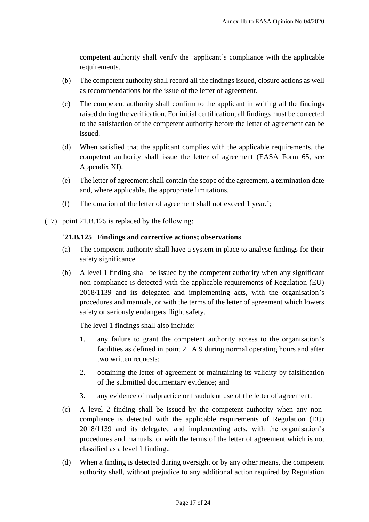competent authority shall verify the applicant's compliance with the applicable requirements.

- (b) The competent authority shall record all the findings issued, closure actions as well as recommendations for the issue of the letter of agreement.
- (c) The competent authority shall confirm to the applicant in writing all the findings raised during the verification. For initial certification, all findings must be corrected to the satisfaction of the competent authority before the letter of agreement can be issued.
- (d) When satisfied that the applicant complies with the applicable requirements, the competent authority shall issue the letter of agreement (EASA Form 65, see Appendix XI).
- (e) The letter of agreement shall contain the scope of the agreement, a termination date and, where applicable, the appropriate limitations.
- (f) The duration of the letter of agreement shall not exceed 1 year.';
- (17) point 21.B.125 is replaced by the following:

## '**21.B.125 Findings and corrective actions; observations**

- (a) The competent authority shall have a system in place to analyse findings for their safety significance.
- (b) A level 1 finding shall be issued by the competent authority when any significant non-compliance is detected with the applicable requirements of Regulation (EU) 2018/1139 and its delegated and implementing acts, with the organisation's procedures and manuals, or with the terms of the letter of agreement which lowers safety or seriously endangers flight safety.

The level 1 findings shall also include:

- 1. any failure to grant the competent authority access to the organisation's facilities as defined in point 21.A.9 during normal operating hours and after two written requests;
- 2. obtaining the letter of agreement or maintaining its validity by falsification of the submitted documentary evidence; and
- 3. any evidence of malpractice or fraudulent use of the letter of agreement.
- (c) A level 2 finding shall be issued by the competent authority when any noncompliance is detected with the applicable requirements of Regulation (EU) 2018/1139 and its delegated and implementing acts, with the organisation's procedures and manuals, or with the terms of the letter of agreement which is not classified as a level 1 finding..
- (d) When a finding is detected during oversight or by any other means, the competent authority shall, without prejudice to any additional action required by Regulation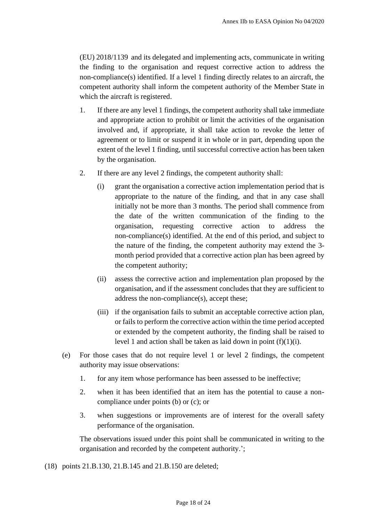(EU) 2018/1139 and its delegated and implementing acts, communicate in writing the finding to the organisation and request corrective action to address the non-compliance(s) identified. If a level 1 finding directly relates to an aircraft, the competent authority shall inform the competent authority of the Member State in which the aircraft is registered.

- 1. If there are any level 1 findings, the competent authority shall take immediate and appropriate action to prohibit or limit the activities of the organisation involved and, if appropriate, it shall take action to revoke the letter of agreement or to limit or suspend it in whole or in part, depending upon the extent of the level 1 finding, until successful corrective action has been taken by the organisation.
- 2. If there are any level 2 findings, the competent authority shall:
	- (i) grant the organisation a corrective action implementation period that is appropriate to the nature of the finding, and that in any case shall initially not be more than 3 months. The period shall commence from the date of the written communication of the finding to the organisation, requesting corrective action to address the non-compliance(s) identified. At the end of this period, and subject to the nature of the finding, the competent authority may extend the 3 month period provided that a corrective action plan has been agreed by the competent authority;
	- (ii) assess the corrective action and implementation plan proposed by the organisation, and if the assessment concludes that they are sufficient to address the non-compliance(s), accept these;
	- (iii) if the organisation fails to submit an acceptable corrective action plan, or fails to perform the corrective action within the time period accepted or extended by the competent authority, the finding shall be raised to level 1 and action shall be taken as laid down in point  $(f)(1)(i)$ .
- (e) For those cases that do not require level 1 or level 2 findings, the competent authority may issue observations:
	- 1. for any item whose performance has been assessed to be ineffective;
	- 2. when it has been identified that an item has the potential to cause a noncompliance under points (b) or (c); or
	- 3. when suggestions or improvements are of interest for the overall safety performance of the organisation.

The observations issued under this point shall be communicated in writing to the organisation and recorded by the competent authority.';

(18) points 21.B.130, 21.B.145 and 21.B.150 are deleted;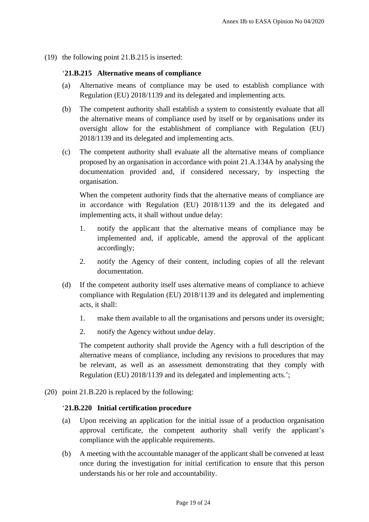(19) the following point 21.B.215 is inserted:

## '**21.B.215 Alternative means of compliance**

- (a) Alternative means of compliance may be used to establish compliance with Regulation (EU) 2018/1139 and its delegated and implementing acts.
- (b) The competent authority shall establish a system to consistently evaluate that all the alternative means of compliance used by itself or by organisations under its oversight allow for the establishment of compliance with Regulation (EU) 2018/1139 and its delegated and implementing acts.
- (c) The competent authority shall evaluate all the alternative means of compliance proposed by an organisation in accordance with point 21.A.134A by analysing the documentation provided and, if considered necessary, by inspecting the organisation.

When the competent authority finds that the alternative means of compliance are in accordance with Regulation (EU) 2018/1139 and the its delegated and implementing acts, it shall without undue delay:

- 1. notify the applicant that the alternative means of compliance may be implemented and, if applicable, amend the approval of the applicant accordingly;
- 2. notify the Agency of their content, including copies of all the relevant documentation.
- (d) If the competent authority itself uses alternative means of compliance to achieve compliance with Regulation (EU) 2018/1139 and its delegated and implementing acts, it shall:
	- 1. make them available to all the organisations and persons under its oversight;
	- 2. notify the Agency without undue delay.

The competent authority shall provide the Agency with a full description of the alternative means of compliance, including any revisions to procedures that may be relevant, as well as an assessment demonstrating that they comply with Regulation (EU) 2018/1139 and its delegated and implementing acts.';

(20) point 21.B.220 is replaced by the following:

#### '**21.B.220 Initial certification procedure**

- (a) Upon receiving an application for the initial issue of a production organisation approval certificate, the competent authority shall verify the applicant's compliance with the applicable requirements.
- (b) A meeting with the accountable manager of the applicant shall be convened at least once during the investigation for initial certification to ensure that this person understands his or her role and accountability.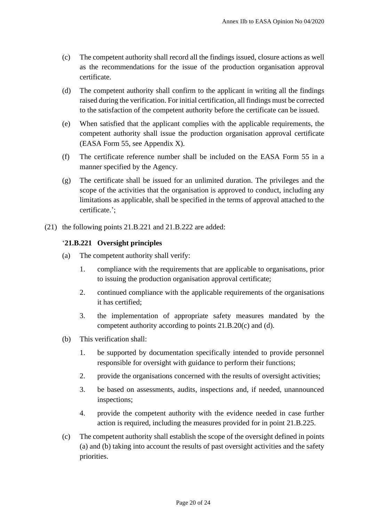- (c) The competent authority shall record all the findings issued, closure actions as well as the recommendations for the issue of the production organisation approval certificate.
- (d) The competent authority shall confirm to the applicant in writing all the findings raised during the verification. For initial certification, all findings must be corrected to the satisfaction of the competent authority before the certificate can be issued.
- (e) When satisfied that the applicant complies with the applicable requirements, the competent authority shall issue the production organisation approval certificate (EASA Form 55, see Appendix X).
- (f) The certificate reference number shall be included on the EASA Form 55 in a manner specified by the Agency.
- (g) The certificate shall be issued for an unlimited duration. The privileges and the scope of the activities that the organisation is approved to conduct, including any limitations as applicable, shall be specified in the terms of approval attached to the certificate.';
- (21) the following points 21.B.221 and 21.B.222 are added:

## '**21.B.221 Oversight principles**

- (a) The competent authority shall verify:
	- 1. compliance with the requirements that are applicable to organisations, prior to issuing the production organisation approval certificate;
	- 2. continued compliance with the applicable requirements of the organisations it has certified;
	- 3. the implementation of appropriate safety measures mandated by the competent authority according to points 21.B.20(c) and (d).
- (b) This verification shall:
	- 1. be supported by documentation specifically intended to provide personnel responsible for oversight with guidance to perform their functions;
	- 2. provide the organisations concerned with the results of oversight activities;
	- 3. be based on assessments, audits, inspections and, if needed, unannounced inspections;
	- 4. provide the competent authority with the evidence needed in case further action is required, including the measures provided for in point 21.B.225.
- (c) The competent authority shall establish the scope of the oversight defined in points (a) and (b) taking into account the results of past oversight activities and the safety priorities.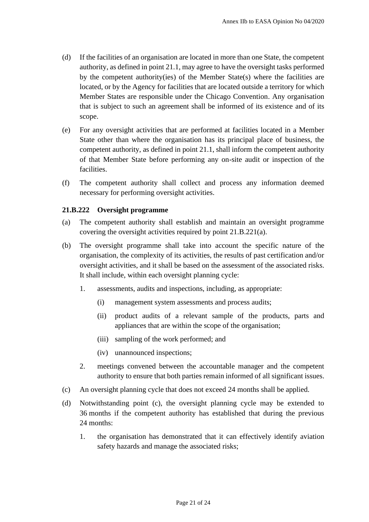- (d) If the facilities of an organisation are located in more than one State, the competent authority, as defined in point 21.1, may agree to have the oversight tasks performed by the competent authority(ies) of the Member State(s) where the facilities are located, or by the Agency for facilities that are located outside a territory for which Member States are responsible under the Chicago Convention. Any organisation that is subject to such an agreement shall be informed of its existence and of its scope.
- (e) For any oversight activities that are performed at facilities located in a Member State other than where the organisation has its principal place of business, the competent authority, as defined in point 21.1, shall inform the competent authority of that Member State before performing any on-site audit or inspection of the facilities.
- (f) The competent authority shall collect and process any information deemed necessary for performing oversight activities.

#### **21.B.222 Oversight programme**

- (a) The competent authority shall establish and maintain an oversight programme covering the oversight activities required by point 21.B.221(a).
- (b) The oversight programme shall take into account the specific nature of the organisation, the complexity of its activities, the results of past certification and/or oversight activities, and it shall be based on the assessment of the associated risks. It shall include, within each oversight planning cycle:
	- 1. assessments, audits and inspections, including, as appropriate:
		- (i) management system assessments and process audits;
		- (ii) product audits of a relevant sample of the products, parts and appliances that are within the scope of the organisation;
		- (iii) sampling of the work performed; and
		- (iv) unannounced inspections;
	- 2. meetings convened between the accountable manager and the competent authority to ensure that both parties remain informed of all significant issues.
- (c) An oversight planning cycle that does not exceed 24 months shall be applied.
- (d) Notwithstanding point (c), the oversight planning cycle may be extended to 36 months if the competent authority has established that during the previous 24 months:
	- 1. the organisation has demonstrated that it can effectively identify aviation safety hazards and manage the associated risks;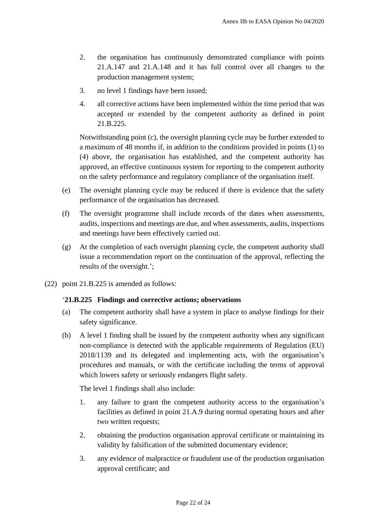- 2. the organisation has continuously demonstrated compliance with points 21.A.147 and 21.A.148 and it has full control over all changes to the production management system;
- 3. no level 1 findings have been issued;
- 4. all corrective actions have been implemented within the time period that was accepted or extended by the competent authority as defined in point 21.B.225.

Notwithstanding point (c), the oversight planning cycle may be further extended to a maximum of 48 months if, in addition to the conditions provided in points (1) to (4) above, the organisation has established, and the competent authority has approved, an effective continuous system for reporting to the competent authority on the safety performance and regulatory compliance of the organisation itself.

- (e) The oversight planning cycle may be reduced if there is evidence that the safety performance of the organisation has decreased.
- (f) The oversight programme shall include records of the dates when assessments, audits, inspections and meetings are due, and when assessments, audits, inspections and meetings have been effectively carried out.
- (g) At the completion of each oversight planning cycle, the competent authority shall issue a recommendation report on the continuation of the approval, reflecting the results of the oversight.';
- (22) point 21.B.225 is amended as follows:

## '**21.B.225 Findings and corrective actions; observations**

- (a) The competent authority shall have a system in place to analyse findings for their safety significance.
- (b) A level 1 finding shall be issued by the competent authority when any significant non-compliance is detected with the applicable requirements of Regulation (EU) 2018/1139 and its delegated and implementing acts, with the organisation's procedures and manuals, or with the certificate including the terms of approval which lowers safety or seriously endangers flight safety.

The level 1 findings shall also include:

- 1. any failure to grant the competent authority access to the organisation's facilities as defined in point 21.A.9 during normal operating hours and after two written requests;
- 2. obtaining the production organisation approval certificate or maintaining its validity by falsification of the submitted documentary evidence;
- 3. any evidence of malpractice or fraudulent use of the production organisation approval certificate; and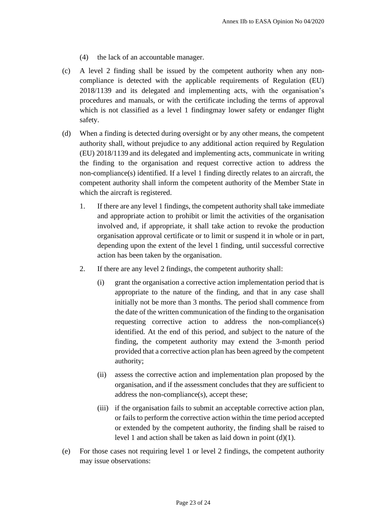- (4) the lack of an accountable manager.
- (c) A level 2 finding shall be issued by the competent authority when any noncompliance is detected with the applicable requirements of Regulation (EU) 2018/1139 and its delegated and implementing acts, with the organisation's procedures and manuals, or with the certificate including the terms of approval which is not classified as a level 1 findingmay lower safety or endanger flight safety.
- (d) When a finding is detected during oversight or by any other means, the competent authority shall, without prejudice to any additional action required by Regulation (EU) 2018/1139 and its delegated and implementing acts, communicate in writing the finding to the organisation and request corrective action to address the non-compliance(s) identified. If a level 1 finding directly relates to an aircraft, the competent authority shall inform the competent authority of the Member State in which the aircraft is registered.
	- 1. If there are any level 1 findings, the competent authority shall take immediate and appropriate action to prohibit or limit the activities of the organisation involved and, if appropriate, it shall take action to revoke the production organisation approval certificate or to limit or suspend it in whole or in part, depending upon the extent of the level 1 finding, until successful corrective action has been taken by the organisation.
	- 2. If there are any level 2 findings, the competent authority shall:
		- (i) grant the organisation a corrective action implementation period that is appropriate to the nature of the finding, and that in any case shall initially not be more than 3 months. The period shall commence from the date of the written communication of the finding to the organisation requesting corrective action to address the non-compliance(s) identified. At the end of this period, and subject to the nature of the finding, the competent authority may extend the 3-month period provided that a corrective action plan has been agreed by the competent authority;
		- (ii) assess the corrective action and implementation plan proposed by the organisation, and if the assessment concludes that they are sufficient to address the non-compliance(s), accept these;
		- (iii) if the organisation fails to submit an acceptable corrective action plan, or fails to perform the corrective action within the time period accepted or extended by the competent authority, the finding shall be raised to level 1 and action shall be taken as laid down in point (d)(1).
- (e) For those cases not requiring level 1 or level 2 findings, the competent authority may issue observations: